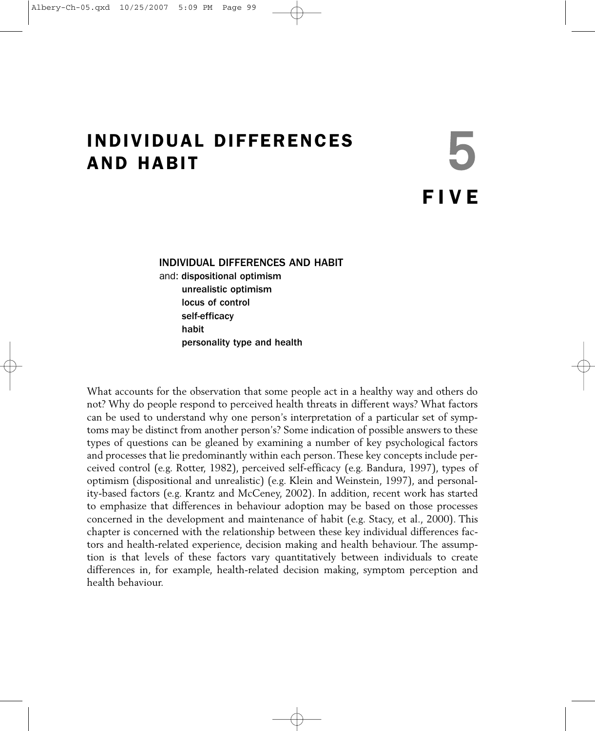# INDIVIDUAL DIFFERENCES<br>AND HABIT

FIVE

INDIVIDUAL DIFFERENCES AND HABIT

and: dispositional optimism unrealistic optimism locus of control self-efficacy habit personality type and health

What accounts for the observation that some people act in a healthy way and others do not? Why do people respond to perceived health threats in different ways? What factors can be used to understand why one person's interpretation of a particular set of symptoms may be distinct from another person's? Some indication of possible answers to these types of questions can be gleaned by examining a number of key psychological factors and processes that lie predominantly within each person. These key concepts include perceived control (e.g. Rotter, 1982), perceived self-efficacy (e.g. Bandura, 1997), types of optimism (dispositional and unrealistic) (e.g. Klein and Weinstein, 1997), and personality-based factors (e.g. Krantz and McCeney, 2002). In addition, recent work has started to emphasize that differences in behaviour adoption may be based on those processes concerned in the development and maintenance of habit (e.g. Stacy, et al., 2000). This chapter is concerned with the relationship between these key individual differences factors and health-related experience, decision making and health behaviour. The assumption is that levels of these factors vary quantitatively between individuals to create differences in, for example, health-related decision making, symptom perception and health behaviour.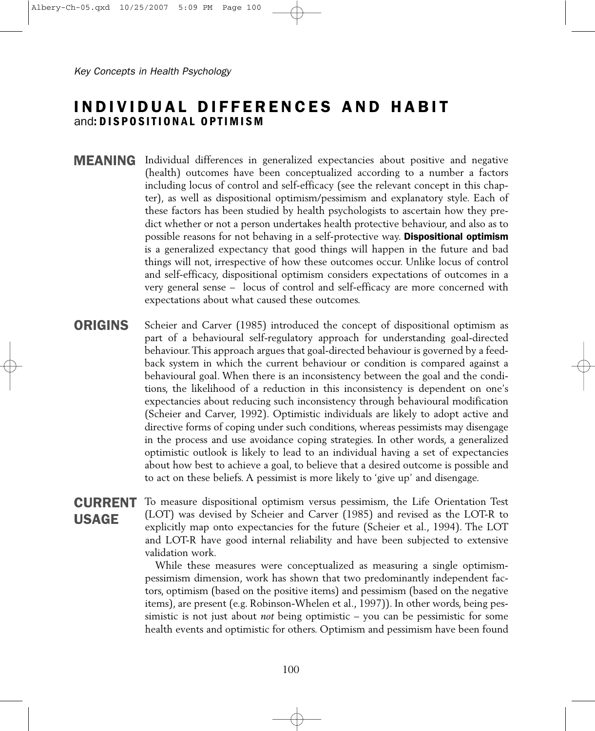#### INDIVIDUAL DIFFERENCES AND HABIT and: DISPOSITIONAL OPTIMISM

- MEANING Individual differences in generalized expectancies about positive and negative (health) outcomes have been conceptualized according to a number a factors including locus of control and self-efficacy (see the relevant concept in this chapter), as well as dispositional optimism/pessimism and explanatory style. Each of these factors has been studied by health psychologists to ascertain how they predict whether or not a person undertakes health protective behaviour, and also as to possible reasons for not behaving in a self-protective way. Dispositional optimism is a generalized expectancy that good things will happen in the future and bad things will not, irrespective of how these outcomes occur. Unlike locus of control and self-efficacy, dispositional optimism considers expectations of outcomes in a very general sense – locus of control and self-efficacy are more concerned with expectations about what caused these outcomes.
- Scheier and Carver (1985) introduced the concept of dispositional optimism as part of a behavioural self-regulatory approach for understanding goal-directed behaviour.This approach argues that goal-directed behaviour is governed by a feedback system in which the current behaviour or condition is compared against a behavioural goal. When there is an inconsistency between the goal and the conditions, the likelihood of a reduction in this inconsistency is dependent on one's expectancies about reducing such inconsistency through behavioural modification (Scheier and Carver, 1992). Optimistic individuals are likely to adopt active and directive forms of coping under such conditions, whereas pessimists may disengage in the process and use avoidance coping strategies. In other words, a generalized optimistic outlook is likely to lead to an individual having a set of expectancies about how best to achieve a goal, to believe that a desired outcome is possible and to act on these beliefs. A pessimist is more likely to 'give up' and disengage. ORIGINS

#### CURRENT USAGE

To measure dispositional optimism versus pessimism, the Life Orientation Test (LOT) was devised by Scheier and Carver (1985) and revised as the LOT-R to explicitly map onto expectancies for the future (Scheier et al., 1994). The LOT and LOT-R have good internal reliability and have been subjected to extensive validation work.

While these measures were conceptualized as measuring a single optimismpessimism dimension, work has shown that two predominantly independent factors, optimism (based on the positive items) and pessimism (based on the negative items), are present (e.g. Robinson-Whelen et al., 1997)). In other words, being pessimistic is not just about *not* being optimistic – you can be pessimistic for some health events and optimistic for others. Optimism and pessimism have been found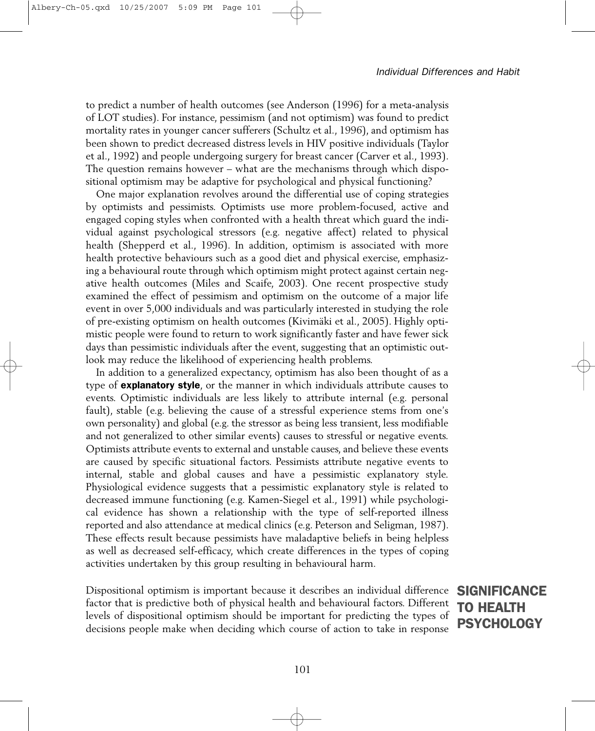to predict a number of health outcomes (see Anderson (1996) for a meta-analysis of LOT studies). For instance, pessimism (and not optimism) was found to predict mortality rates in younger cancer sufferers (Schultz et al., 1996), and optimism has been shown to predict decreased distress levels in HIV positive individuals (Taylor et al., 1992) and people undergoing surgery for breast cancer (Carver et al., 1993). The question remains however – what are the mechanisms through which dispositional optimism may be adaptive for psychological and physical functioning?

One major explanation revolves around the differential use of coping strategies by optimists and pessimists. Optimists use more problem-focused, active and engaged coping styles when confronted with a health threat which guard the individual against psychological stressors (e.g. negative affect) related to physical health (Shepperd et al., 1996). In addition, optimism is associated with more health protective behaviours such as a good diet and physical exercise, emphasizing a behavioural route through which optimism might protect against certain negative health outcomes (Miles and Scaife, 2003). One recent prospective study examined the effect of pessimism and optimism on the outcome of a major life event in over 5,000 individuals and was particularly interested in studying the role of pre-existing optimism on health outcomes (Kivimäki et al., 2005). Highly optimistic people were found to return to work significantly faster and have fewer sick days than pessimistic individuals after the event, suggesting that an optimistic outlook may reduce the likelihood of experiencing health problems.

In addition to a generalized expectancy, optimism has also been thought of as a type of **explanatory style**, or the manner in which individuals attribute causes to events. Optimistic individuals are less likely to attribute internal (e.g. personal fault), stable (e.g. believing the cause of a stressful experience stems from one's own personality) and global (e.g. the stressor as being less transient, less modifiable and not generalized to other similar events) causes to stressful or negative events. Optimists attribute events to external and unstable causes, and believe these events are caused by specific situational factors. Pessimists attribute negative events to internal, stable and global causes and have a pessimistic explanatory style. Physiological evidence suggests that a pessimistic explanatory style is related to decreased immune functioning (e.g. Kamen-Siegel et al., 1991) while psychological evidence has shown a relationship with the type of self-reported illness reported and also attendance at medical clinics (e.g. Peterson and Seligman, 1987). These effects result because pessimists have maladaptive beliefs in being helpless as well as decreased self-efficacy, which create differences in the types of coping activities undertaken by this group resulting in behavioural harm.

Dispositional optimism is important because it describes an individual difference SIGNIFICANCE factor that is predictive both of physical health and behavioural factors. Different levels of dispositional optimism should be important for predicting the types of decisions people make when deciding which course of action to take in response

# TO HEALTH PSYCHOLOGY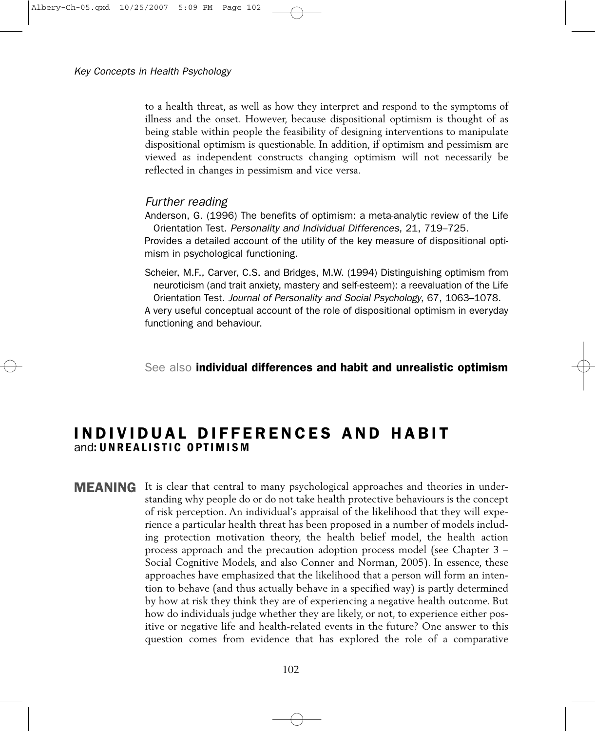to a health threat, as well as how they interpret and respond to the symptoms of illness and the onset. However, because dispositional optimism is thought of as being stable within people the feasibility of designing interventions to manipulate dispositional optimism is questionable. In addition, if optimism and pessimism are viewed as independent constructs changing optimism will not necessarily be reflected in changes in pessimism and vice versa.

#### Further reading

Anderson, G. (1996) The benefits of optimism: a meta-analytic review of the Life Orientation Test. Personality and Individual Differences, 21, 719–725.

Provides a detailed account of the utility of the key measure of dispositional optimism in psychological functioning.

Scheier, M.F., Carver, C.S. and Bridges, M.W. (1994) Distinguishing optimism from neuroticism (and trait anxiety, mastery and self-esteem): a reevaluation of the Life Orientation Test. Journal of Personality and Social Psychology, 67, 1063–1078. A very useful conceptual account of the role of dispositional optimism in everyday functioning and behaviour.

See also individual differences and habit and unrealistic optimism

#### INDIVIDUAL DIFFERENCES AND HABIT and: UNREALISTIC OPTIMISM

MEANING It is clear that central to many psychological approaches and theories in understanding why people do or do not take health protective behaviours is the concept of risk perception. An individual's appraisal of the likelihood that they will experience a particular health threat has been proposed in a number of models including protection motivation theory, the health belief model, the health action process approach and the precaution adoption process model (see Chapter 3 – Social Cognitive Models, and also Conner and Norman, 2005). In essence, these approaches have emphasized that the likelihood that a person will form an intention to behave (and thus actually behave in a specified way) is partly determined by how at risk they think they are of experiencing a negative health outcome. But how do individuals judge whether they are likely, or not, to experience either positive or negative life and health-related events in the future? One answer to this question comes from evidence that has explored the role of a comparative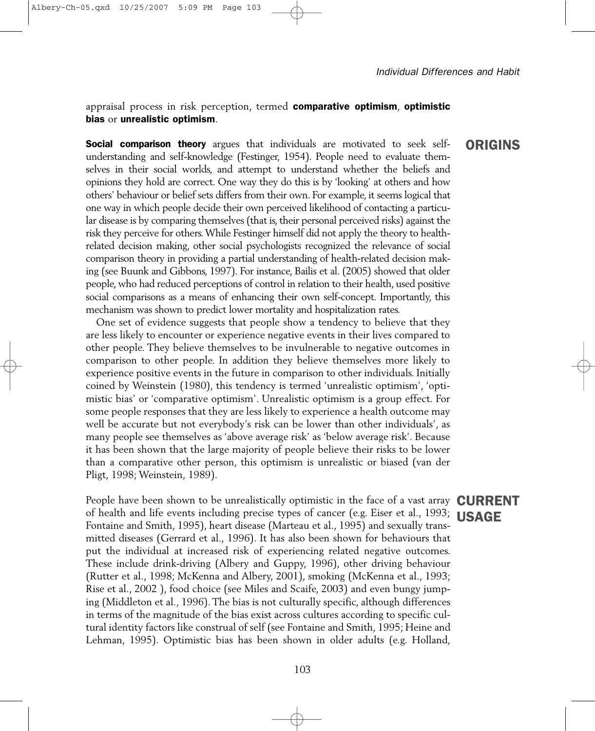appraisal process in risk perception, termed comparative optimism, optimistic bias or unrealistic optimism.

**Social comparison theory** argues that individuals are motivated to seek selfunderstanding and self-knowledge (Festinger, 1954). People need to evaluate themselves in their social worlds, and attempt to understand whether the beliefs and opinions they hold are correct. One way they do this is by 'looking' at others and how others' behaviour or belief sets differs from their own. For example, it seems logical that one way in which people decide their own perceived likelihood of contacting a particular disease is by comparing themselves (that is, their personal perceived risks) against the risk they perceive for others.While Festinger himself did not apply the theory to healthrelated decision making, other social psychologists recognized the relevance of social comparison theory in providing a partial understanding of health-related decision making (see Buunk and Gibbons, 1997). For instance, Bailis et al. (2005) showed that older people, who had reduced perceptions of control in relation to their health, used positive social comparisons as a means of enhancing their own self-concept. Importantly, this mechanism was shown to predict lower mortality and hospitalization rates.

One set of evidence suggests that people show a tendency to believe that they are less likely to encounter or experience negative events in their lives compared to other people. They believe themselves to be invulnerable to negative outcomes in comparison to other people. In addition they believe themselves more likely to experience positive events in the future in comparison to other individuals. Initially coined by Weinstein (1980), this tendency is termed 'unrealistic optimism', 'optimistic bias' or 'comparative optimism'. Unrealistic optimism is a group effect. For some people responses that they are less likely to experience a health outcome may well be accurate but not everybody's risk can be lower than other individuals', as many people see themselves as 'above average risk' as 'below average risk'. Because it has been shown that the large majority of people believe their risks to be lower than a comparative other person, this optimism is unrealistic or biased (van der Pligt, 1998; Weinstein, 1989).

People have been shown to be unrealistically optimistic in the face of a vast array  $\, {\rm \bf CURRENT} \,$ of health and life events including precise types of cancer (e.g. Eiser et al., 1993; Fontaine and Smith, 1995), heart disease (Marteau et al., 1995) and sexually transmitted diseases (Gerrard et al., 1996). It has also been shown for behaviours that put the individual at increased risk of experiencing related negative outcomes. These include drink-driving (Albery and Guppy, 1996), other driving behaviour (Rutter et al., 1998; McKenna and Albery, 2001), smoking (McKenna et al., 1993; Rise et al., 2002 ), food choice (see Miles and Scaife, 2003) and even bungy jumping (Middleton et al., 1996). The bias is not culturally specific, although differences in terms of the magnitude of the bias exist across cultures according to specific cultural identity factors like construal of self (see Fontaine and Smith, 1995; Heine and Lehman, 1995). Optimistic bias has been shown in older adults (e.g. Holland, USAGE

#### 103

#### ORIGINS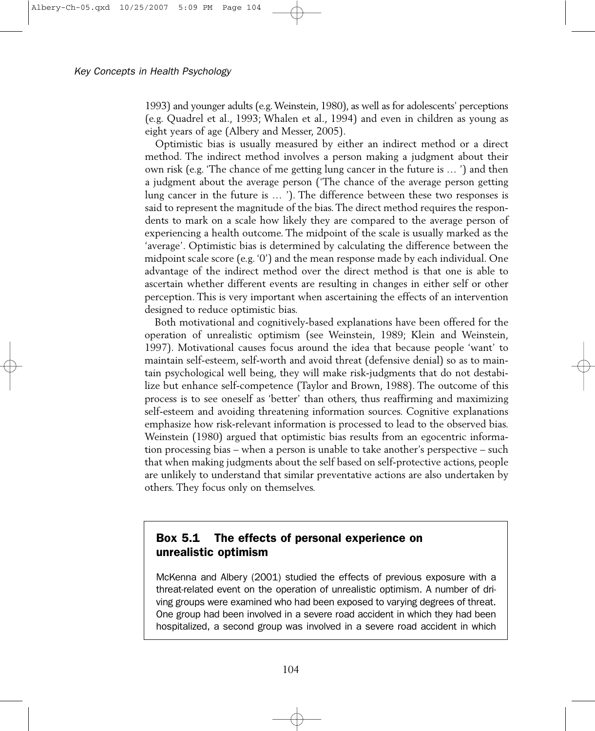1993) and younger adults (e.g.Weinstein, 1980), as well as for adolescents' perceptions (e.g. Quadrel et al., 1993; Whalen et al., 1994) and even in children as young as eight years of age (Albery and Messer, 2005).

Optimistic bias is usually measured by either an indirect method or a direct method. The indirect method involves a person making a judgment about their own risk (e.g. 'The chance of me getting lung cancer in the future is … ') and then a judgment about the average person ('The chance of the average person getting lung cancer in the future is … '). The difference between these two responses is said to represent the magnitude of the bias. The direct method requires the respondents to mark on a scale how likely they are compared to the average person of experiencing a health outcome. The midpoint of the scale is usually marked as the 'average'. Optimistic bias is determined by calculating the difference between the midpoint scale score (e.g. '0') and the mean response made by each individual. One advantage of the indirect method over the direct method is that one is able to ascertain whether different events are resulting in changes in either self or other perception. This is very important when ascertaining the effects of an intervention designed to reduce optimistic bias.

Both motivational and cognitively-based explanations have been offered for the operation of unrealistic optimism (see Weinstein, 1989; Klein and Weinstein, 1997). Motivational causes focus around the idea that because people 'want' to maintain self-esteem, self-worth and avoid threat (defensive denial) so as to maintain psychological well being, they will make risk-judgments that do not destabilize but enhance self-competence (Taylor and Brown, 1988). The outcome of this process is to see oneself as 'better' than others, thus reaffirming and maximizing self-esteem and avoiding threatening information sources. Cognitive explanations emphasize how risk-relevant information is processed to lead to the observed bias. Weinstein (1980) argued that optimistic bias results from an egocentric information processing bias – when a person is unable to take another's perspective – such that when making judgments about the self based on self-protective actions, people are unlikely to understand that similar preventative actions are also undertaken by others. They focus only on themselves.

#### Box 5.1 The effects of personal experience on unrealistic optimism

McKenna and Albery (2001) studied the effects of previous exposure with a threat-related event on the operation of unrealistic optimism. A number of driving groups were examined who had been exposed to varying degrees of threat. One group had been involved in a severe road accident in which they had been hospitalized, a second group was involved in a severe road accident in which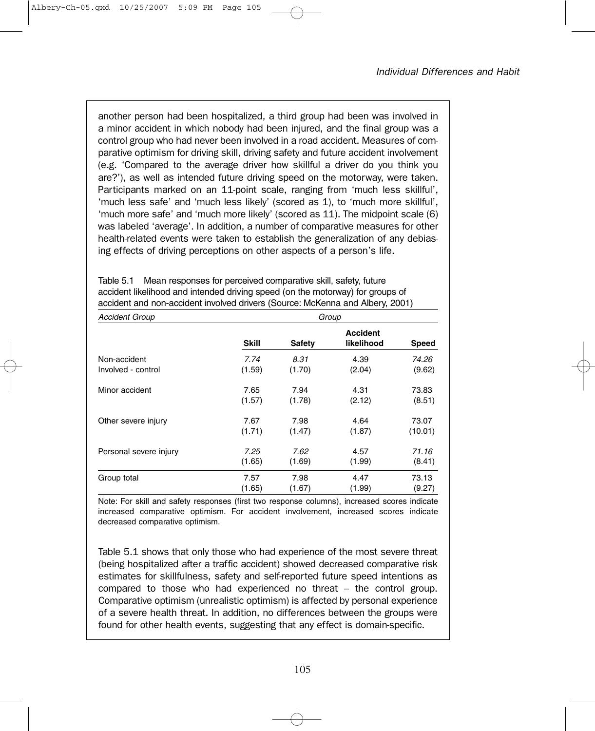another person had been hospitalized, a third group had been was involved in a minor accident in which nobody had been injured, and the final group was a control group who had never been involved in a road accident. Measures of comparative optimism for driving skill, driving safety and future accident involvement (e.g. 'Compared to the average driver how skillful a driver do you think you are?'), as well as intended future driving speed on the motorway, were taken. Participants marked on an 11-point scale, ranging from 'much less skillful', 'much less safe' and 'much less likely' (scored as 1), to 'much more skillful', 'much more safe' and 'much more likely' (scored as 11). The midpoint scale (6) was labeled 'average'. In addition, a number of comparative measures for other health-related events were taken to establish the generalization of any debiasing effects of driving perceptions on other aspects of a person's life.

| <b>Accident Group</b>  | Group        |               |                               |              |
|------------------------|--------------|---------------|-------------------------------|--------------|
|                        | <b>Skill</b> | <b>Safety</b> | <b>Accident</b><br>likelihood | <b>Speed</b> |
| Non-accident           | 7.74         | 8.31          | 4.39                          | 74.26        |
| Involved - control     | (1.59)       | (1.70)        | (2.04)                        | (9.62)       |
| Minor accident         | 7.65         | 7.94          | 4.31                          | 73.83        |
|                        | (1.57)       | (1.78)        | (2.12)                        | (8.51)       |
| Other severe injury    | 7.67         | 7.98          | 4.64                          | 73.07        |
|                        | (1.71)       | (1.47)        | (1.87)                        | (10.01)      |
| Personal severe injury | 7.25         | 7.62          | 4.57                          | 71.16        |
|                        | (1.65)       | (1.69)        | (1.99)                        | (8.41)       |
| Group total            | 7.57         | 7.98          | 4.47                          | 73.13        |
|                        | (1.65)       | (1.67)        | (1.99)                        | (9.27)       |

Table 5.1 Mean responses for perceived comparative skill, safety, future accident likelihood and intended driving speed (on the motorway) for groups of accident and non-accident involved drivers (Source: McKenna and Albery, 2001)

Note: For skill and safety responses (first two response columns), increased scores indicate increased comparative optimism. For accident involvement, increased scores indicate decreased comparative optimism.

Table 5.1 shows that only those who had experience of the most severe threat (being hospitalized after a traffic accident) showed decreased comparative risk estimates for skillfulness, safety and self-reported future speed intentions as compared to those who had experienced no threat – the control group. Comparative optimism (unrealistic optimism) is affected by personal experience of a severe health threat. In addition, no differences between the groups were found for other health events, suggesting that any effect is domain-specific.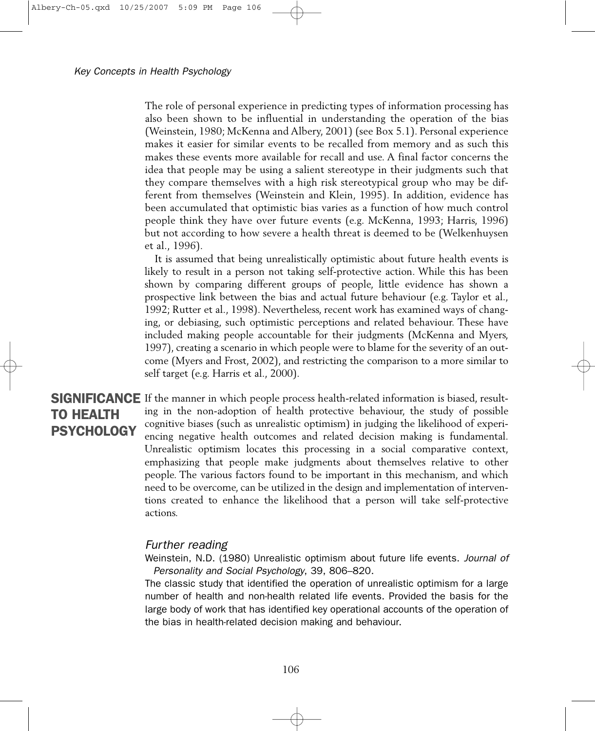The role of personal experience in predicting types of information processing has also been shown to be influential in understanding the operation of the bias (Weinstein, 1980; McKenna and Albery, 2001) (see Box 5.1). Personal experience makes it easier for similar events to be recalled from memory and as such this makes these events more available for recall and use. A final factor concerns the idea that people may be using a salient stereotype in their judgments such that they compare themselves with a high risk stereotypical group who may be different from themselves (Weinstein and Klein, 1995). In addition, evidence has been accumulated that optimistic bias varies as a function of how much control people think they have over future events (e.g. McKenna, 1993; Harris, 1996) but not according to how severe a health threat is deemed to be (Welkenhuysen et al., 1996).

It is assumed that being unrealistically optimistic about future health events is likely to result in a person not taking self-protective action. While this has been shown by comparing different groups of people, little evidence has shown a prospective link between the bias and actual future behaviour (e.g. Taylor et al., 1992; Rutter et al., 1998). Nevertheless, recent work has examined ways of changing, or debiasing, such optimistic perceptions and related behaviour. These have included making people accountable for their judgments (McKenna and Myers, 1997), creating a scenario in which people were to blame for the severity of an outcome (Myers and Frost, 2002), and restricting the comparison to a more similar to self target (e.g. Harris et al., 2000).

## TO HEALTH **PSYCHOLOGY**

SIGNIFICANCE If the manner in which people process health-related information is biased, resulting in the non-adoption of health protective behaviour, the study of possible cognitive biases (such as unrealistic optimism) in judging the likelihood of experiencing negative health outcomes and related decision making is fundamental. Unrealistic optimism locates this processing in a social comparative context, emphasizing that people make judgments about themselves relative to other people. The various factors found to be important in this mechanism, and which need to be overcome, can be utilized in the design and implementation of interventions created to enhance the likelihood that a person will take self-protective actions.

#### Further reading

Weinstein, N.D. (1980) Unrealistic optimism about future life events. Journal of Personality and Social Psychology, 39, 806–820.

The classic study that identified the operation of unrealistic optimism for a large number of health and non-health related life events. Provided the basis for the large body of work that has identified key operational accounts of the operation of the bias in health-related decision making and behaviour.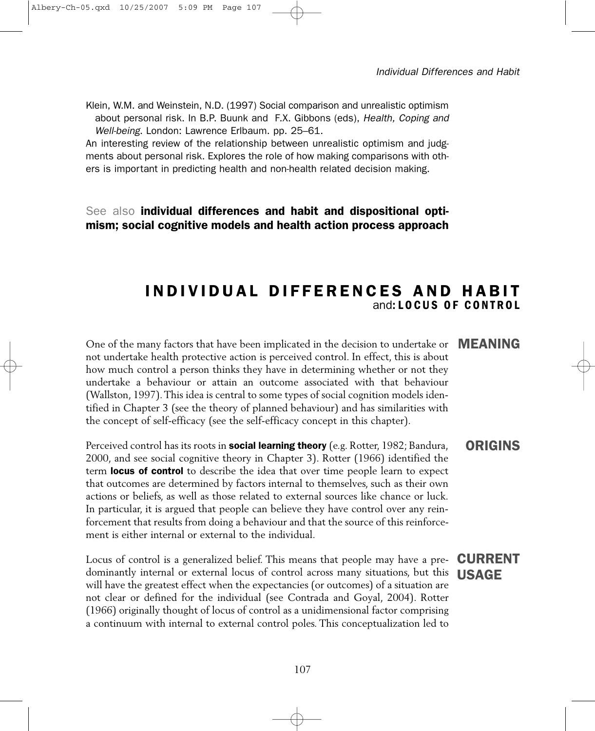Individual Differences and Habit

Klein, W.M. and Weinstein, N.D. (1997) Social comparison and unrealistic optimism about personal risk. In B.P. Buunk and F.X. Gibbons (eds), Health, Coping and Well-being. London: Lawrence Erlbaum. pp. 25–61.

An interesting review of the relationship between unrealistic optimism and judgments about personal risk. Explores the role of how making comparisons with others is important in predicting health and non-health related decision making.

See also individual differences and habit and dispositional optimism; social cognitive models and health action process approach

#### INDIVIDUAL DIFFERENCES AND HABIT and: LOCUS OF CONTROL

One of the many factors that have been implicated in the decision to undertake or not undertake health protective action is perceived control. In effect, this is about how much control a person thinks they have in determining whether or not they undertake a behaviour or attain an outcome associated with that behaviour (Wallston, 1997).This idea is central to some types of social cognition models identified in Chapter 3 (see the theory of planned behaviour) and has similarities with the concept of self-efficacy (see the self-efficacy concept in this chapter). MEANING

Perceived control has its roots in **social learning theory** (e.g. Rotter, 1982; Bandura, 2000, and see social cognitive theory in Chapter 3). Rotter (1966) identified the term **locus of control** to describe the idea that over time people learn to expect that outcomes are determined by factors internal to themselves, such as their own actions or beliefs, as well as those related to external sources like chance or luck. In particular, it is argued that people can believe they have control over any reinforcement that results from doing a behaviour and that the source of this reinforcement is either internal or external to the individual.

Locus of control is a generalized belief. This means that people may have a predominantly internal or external locus of control across many situations, but this will have the greatest effect when the expectancies (or outcomes) of a situation are not clear or defined for the individual (see Contrada and Goyal, 2004). Rotter (1966) originally thought of locus of control as a unidimensional factor comprising a continuum with internal to external control poles. This conceptualization led to

#### ORIGINS

#### CURRENT USAGE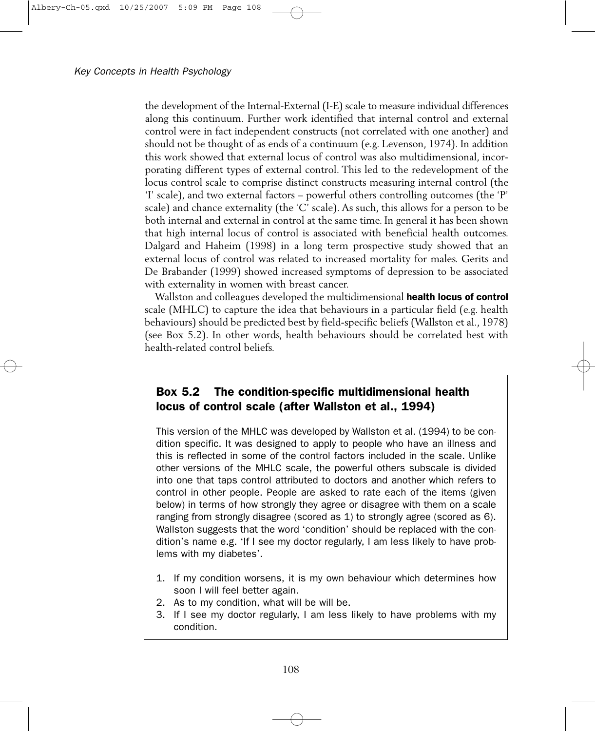the development of the Internal-External (I-E) scale to measure individual differences along this continuum. Further work identified that internal control and external control were in fact independent constructs (not correlated with one another) and should not be thought of as ends of a continuum (e.g. Levenson, 1974). In addition this work showed that external locus of control was also multidimensional, incorporating different types of external control. This led to the redevelopment of the locus control scale to comprise distinct constructs measuring internal control (the 'I' scale), and two external factors – powerful others controlling outcomes (the 'P' scale) and chance externality (the 'C' scale). As such, this allows for a person to be both internal and external in control at the same time. In general it has been shown that high internal locus of control is associated with beneficial health outcomes. Dalgard and Haheim (1998) in a long term prospective study showed that an external locus of control was related to increased mortality for males. Gerits and De Brabander (1999) showed increased symptoms of depression to be associated with externality in women with breast cancer.

Wallston and colleagues developed the multidimensional **health locus of control** scale (MHLC) to capture the idea that behaviours in a particular field (e.g. health behaviours) should be predicted best by field-specific beliefs (Wallston et al., 1978) (see Box 5.2). In other words, health behaviours should be correlated best with health-related control beliefs.

#### Box 5.2 The condition-specific multidimensional health locus of control scale (after Wallston et al., 1994)

This version of the MHLC was developed by Wallston et al. (1994) to be condition specific. It was designed to apply to people who have an illness and this is reflected in some of the control factors included in the scale. Unlike other versions of the MHLC scale, the powerful others subscale is divided into one that taps control attributed to doctors and another which refers to control in other people. People are asked to rate each of the items (given below) in terms of how strongly they agree or disagree with them on a scale ranging from strongly disagree (scored as 1) to strongly agree (scored as 6). Wallston suggests that the word 'condition' should be replaced with the condition's name e.g. 'If I see my doctor regularly, I am less likely to have problems with my diabetes'.

- 1. If my condition worsens, it is my own behaviour which determines how soon I will feel better again.
- 2. As to my condition, what will be will be.
- 3. If I see my doctor regularly, I am less likely to have problems with my condition.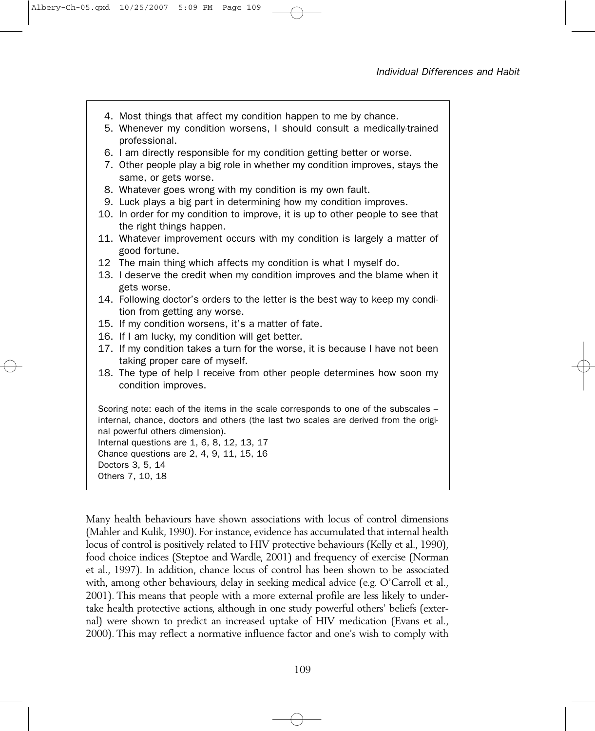- 4. Most things that affect my condition happen to me by chance.
- 5. Whenever my condition worsens, I should consult a medically-trained professional.
- 6. I am directly responsible for my condition getting better or worse.
- 7. Other people play a big role in whether my condition improves, stays the same, or gets worse.
- 8. Whatever goes wrong with my condition is my own fault.
- 9. Luck plays a big part in determining how my condition improves.
- 10. In order for my condition to improve, it is up to other people to see that the right things happen.
- 11. Whatever improvement occurs with my condition is largely a matter of good fortune.
- 12 The main thing which affects my condition is what I myself do.
- 13. I deserve the credit when my condition improves and the blame when it gets worse.
- 14. Following doctor's orders to the letter is the best way to keep my condition from getting any worse.
- 15. If my condition worsens, it's a matter of fate.
- 16. If I am lucky, my condition will get better.
- 17. If my condition takes a turn for the worse, it is because I have not been taking proper care of myself.
- 18. The type of help I receive from other people determines how soon my condition improves.

Scoring note: each of the items in the scale corresponds to one of the subscales – internal, chance, doctors and others (the last two scales are derived from the original powerful others dimension). Internal questions are 1, 6, 8, 12, 13, 17

Chance questions are 2, 4, 9, 11, 15, 16 Doctors 3, 5, 14 Others 7, 10, 18

Many health behaviours have shown associations with locus of control dimensions (Mahler and Kulik, 1990). For instance, evidence has accumulated that internal health locus of control is positively related to HIV protective behaviours (Kelly et al., 1990), food choice indices (Steptoe and Wardle, 2001) and frequency of exercise (Norman et al., 1997). In addition, chance locus of control has been shown to be associated with, among other behaviours, delay in seeking medical advice (e.g. O'Carroll et al., 2001). This means that people with a more external profile are less likely to undertake health protective actions, although in one study powerful others' beliefs (external) were shown to predict an increased uptake of HIV medication (Evans et al., 2000). This may reflect a normative influence factor and one's wish to comply with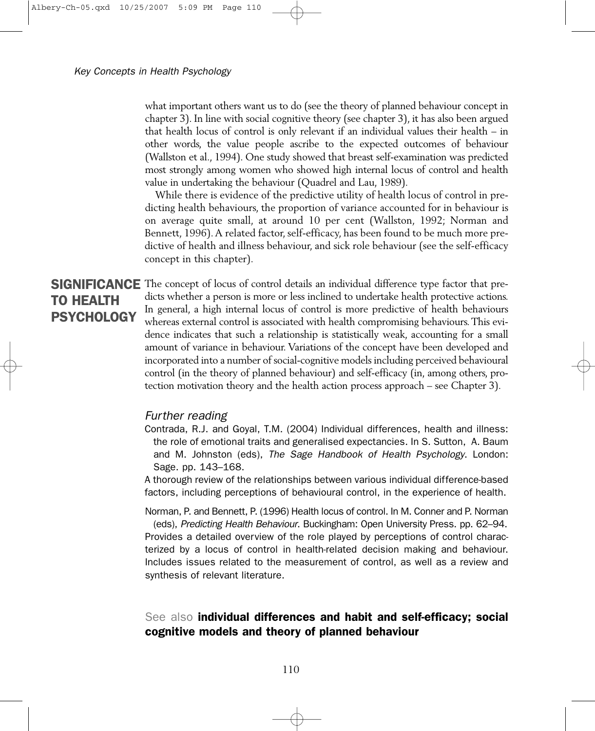what important others want us to do (see the theory of planned behaviour concept in chapter 3). In line with social cognitive theory (see chapter 3), it has also been argued that health locus of control is only relevant if an individual values their health – in other words, the value people ascribe to the expected outcomes of behaviour (Wallston et al., 1994). One study showed that breast self-examination was predicted most strongly among women who showed high internal locus of control and health value in undertaking the behaviour (Quadrel and Lau, 1989).

While there is evidence of the predictive utility of health locus of control in predicting health behaviours, the proportion of variance accounted for in behaviour is on average quite small, at around 10 per cent (Wallston, 1992; Norman and Bennett, 1996). A related factor, self-efficacy, has been found to be much more predictive of health and illness behaviour, and sick role behaviour (see the self-efficacy concept in this chapter).

TO HEALTH **PSYCHOLOGY** 

SIGNIFICANCE The concept of locus of control details an individual difference type factor that predicts whether a person is more or less inclined to undertake health protective actions. In general, a high internal locus of control is more predictive of health behaviours whereas external control is associated with health compromising behaviours. This evidence indicates that such a relationship is statistically weak, accounting for a small amount of variance in behaviour. Variations of the concept have been developed and incorporated into a number of social-cognitive models including perceived behavioural control (in the theory of planned behaviour) and self-efficacy (in, among others, protection motivation theory and the health action process approach – see Chapter 3).

#### Further reading

Contrada, R.J. and Goyal, T.M. (2004) Individual differences, health and illness: the role of emotional traits and generalised expectancies. In S. Sutton, A. Baum and M. Johnston (eds), The Sage Handbook of Health Psychology. London: Sage. pp. 143–168.

A thorough review of the relationships between various individual difference-based factors, including perceptions of behavioural control, in the experience of health.

Norman, P. and Bennett, P. (1996) Health locus of control. In M. Conner and P. Norman (eds), Predicting Health Behaviour. Buckingham: Open University Press. pp. 62–94. Provides a detailed overview of the role played by perceptions of control characterized by a locus of control in health-related decision making and behaviour. Includes issues related to the measurement of control, as well as a review and synthesis of relevant literature.

#### See also individual differences and habit and self-efficacy; social cognitive models and theory of planned behaviour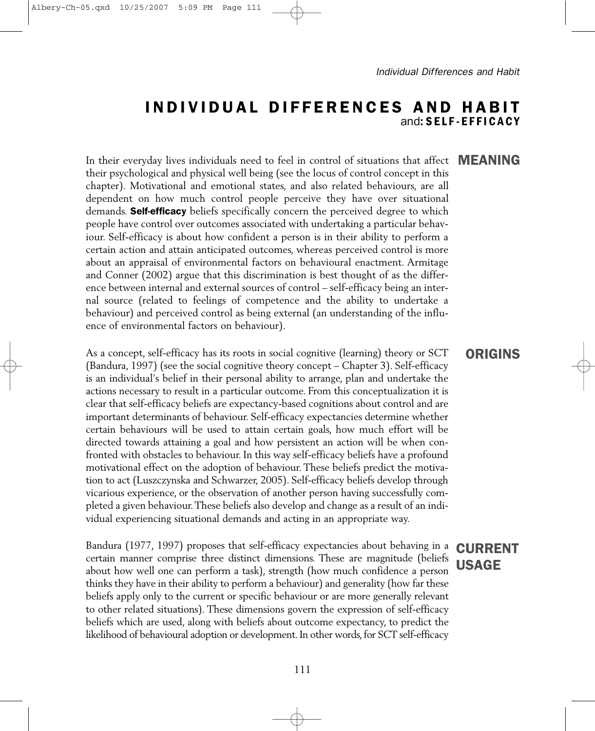In their everyday lives individuals need to feel in control of situations that affect MEANING their psychological and physical well being (see the locus of control concept in this chapter). Motivational and emotional states, and also related behaviours, are all dependent on how much control people perceive they have over situational demands. Self-efficacy beliefs specifically concern the perceived degree to which people have control over outcomes associated with undertaking a particular behaviour. Self-efficacy is about how confident a person is in their ability to perform a certain action and attain anticipated outcomes, whereas perceived control is more about an appraisal of environmental factors on behavioural enactment. Armitage and Conner (2002) argue that this discrimination is best thought of as the difference between internal and external sources of control – self-efficacy being an internal source (related to feelings of competence and the ability to undertake a behaviour) and perceived control as being external (an understanding of the influence of environmental factors on behaviour).

As a concept, self-efficacy has its roots in social cognitive (learning) theory or SCT (Bandura, 1997) (see the social cognitive theory concept – Chapter 3). Self-efficacy is an individual's belief in their personal ability to arrange, plan and undertake the actions necessary to result in a particular outcome. From this conceptualization it is clear that self-efficacy beliefs are expectancy-based cognitions about control and are important determinants of behaviour. Self-efficacy expectancies determine whether certain behaviours will be used to attain certain goals, how much effort will be directed towards attaining a goal and how persistent an action will be when confronted with obstacles to behaviour. In this way self-efficacy beliefs have a profound motivational effect on the adoption of behaviour. These beliefs predict the motivation to act (Luszczynska and Schwarzer, 2005). Self-efficacy beliefs develop through vicarious experience, or the observation of another person having successfully completed a given behaviour.These beliefs also develop and change as a result of an individual experiencing situational demands and acting in an appropriate way.

Bandura (1977, 1997) proposes that self-efficacy expectancies about behaving in a certain manner comprise three distinct dimensions. These are magnitude (beliefs about how well one can perform a task), strength (how much confidence a person thinks they have in their ability to perform a behaviour) and generality (how far these beliefs apply only to the current or specific behaviour or are more generally relevant to other related situations). These dimensions govern the expression of self-efficacy beliefs which are used, along with beliefs about outcome expectancy, to predict the likelihood of behavioural adoption or development. In other words, for SCT self-efficacy

#### **ORIGINS**

#### **CURRENT** USAGE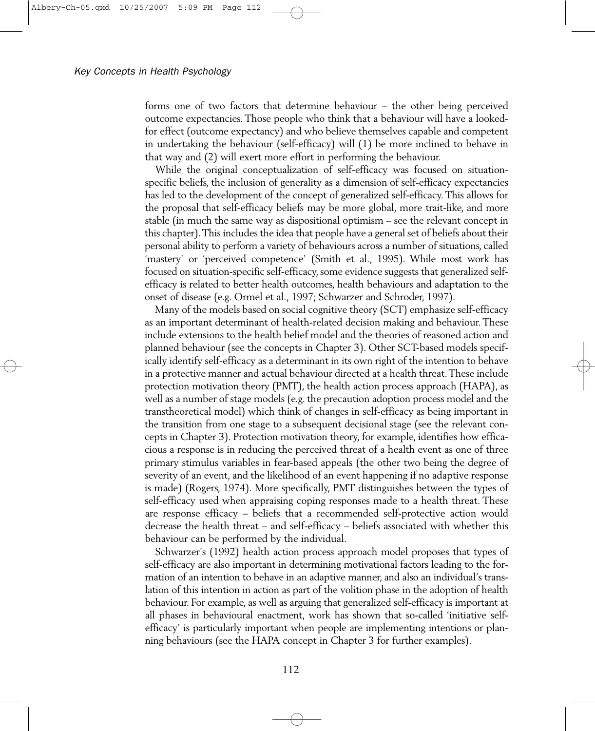forms one of two factors that determine behaviour – the other being perceived outcome expectancies. Those people who think that a behaviour will have a lookedfor effect (outcome expectancy) and who believe themselves capable and competent in undertaking the behaviour (self-efficacy) will (1) be more inclined to behave in that way and (2) will exert more effort in performing the behaviour.

While the original conceptualization of self-efficacy was focused on situationspecific beliefs, the inclusion of generality as a dimension of self-efficacy expectancies has led to the development of the concept of generalized self-efficacy. This allows for the proposal that self-efficacy beliefs may be more global, more trait-like, and more stable (in much the same way as dispositional optimism – see the relevant concept in this chapter).This includes the idea that people have a general set of beliefs about their personal ability to perform a variety of behaviours across a number of situations, called 'mastery' or 'perceived competence' (Smith et al., 1995). While most work has focused on situation-specific self-efficacy, some evidence suggests that generalized selfefficacy is related to better health outcomes, health behaviours and adaptation to the onset of disease (e.g. Ormel et al., 1997; Schwarzer and Schroder, 1997).

Many of the models based on social cognitive theory (SCT) emphasize self-efficacy as an important determinant of health-related decision making and behaviour. These include extensions to the health belief model and the theories of reasoned action and planned behaviour (see the concepts in Chapter 3). Other SCT-based models specifically identify self-efficacy as a determinant in its own right of the intention to behave in a protective manner and actual behaviour directed at a health threat.These include protection motivation theory (PMT), the health action process approach (HAPA), as well as a number of stage models (e.g. the precaution adoption process model and the transtheoretical model) which think of changes in self-efficacy as being important in the transition from one stage to a subsequent decisional stage (see the relevant concepts in Chapter 3). Protection motivation theory, for example, identifies how efficacious a response is in reducing the perceived threat of a health event as one of three primary stimulus variables in fear-based appeals (the other two being the degree of severity of an event, and the likelihood of an event happening if no adaptive response is made) (Rogers, 1974). More specifically, PMT distinguishes between the types of self-efficacy used when appraising coping responses made to a health threat. These are response efficacy – beliefs that a recommended self-protective action would decrease the health threat – and self-efficacy – beliefs associated with whether this behaviour can be performed by the individual.

Schwarzer's (1992) health action process approach model proposes that types of self-efficacy are also important in determining motivational factors leading to the formation of an intention to behave in an adaptive manner, and also an individual's translation of this intention in action as part of the volition phase in the adoption of health behaviour. For example, as well as arguing that generalized self-efficacy is important at all phases in behavioural enactment, work has shown that so-called 'initiative selfefficacy' is particularly important when people are implementing intentions or planning behaviours (see the HAPA concept in Chapter 3 for further examples).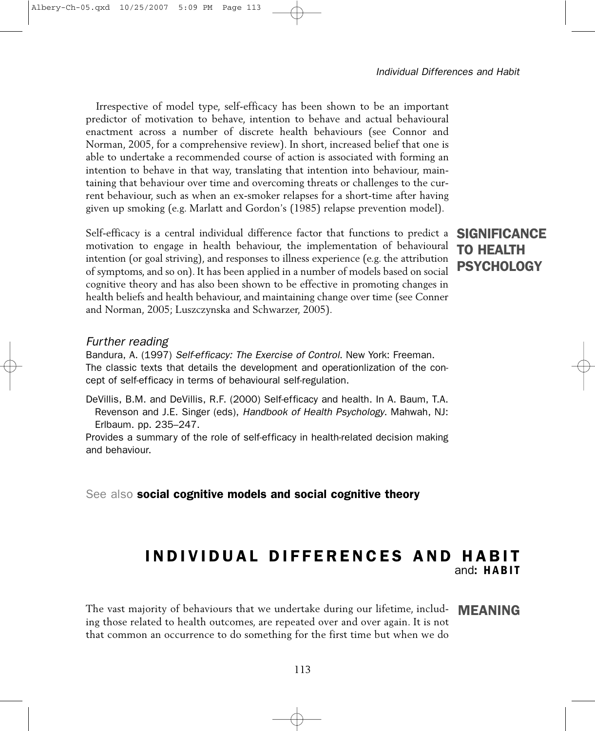Individual Differences and Habit

Irrespective of model type, self-efficacy has been shown to be an important predictor of motivation to behave, intention to behave and actual behavioural enactment across a number of discrete health behaviours (see Connor and Norman, 2005, for a comprehensive review). In short, increased belief that one is able to undertake a recommended course of action is associated with forming an intention to behave in that way, translating that intention into behaviour, maintaining that behaviour over time and overcoming threats or challenges to the current behaviour, such as when an ex-smoker relapses for a short-time after having given up smoking (e.g. Marlatt and Gordon's (1985) relapse prevention model).

Self-efficacy is a central individual difference factor that functions to predict a motivation to engage in health behaviour, the implementation of behavioural intention (or goal striving), and responses to illness experience (e.g. the attribution of symptoms, and so on). It has been applied in a number of models based on social cognitive theory and has also been shown to be effective in promoting changes in health beliefs and health behaviour, and maintaining change over time (see Conner and Norman, 2005; Luszczynska and Schwarzer, 2005).

#### Further reading

Bandura, A. (1997) Self-efficacy: The Exercise of Control. New York: Freeman. The classic texts that details the development and operationlization of the concept of self-efficacy in terms of behavioural self-regulation.

DeVillis, B.M. and DeVillis, R.F. (2000) Self-efficacy and health. In A. Baum, T.A. Revenson and J.E. Singer (eds), Handbook of Health Psychology. Mahwah, NJ: Erlbaum. pp. 235–247.

Provides a summary of the role of self-efficacy in health-related decision making and behaviour.

See also social cognitive models and social cognitive theory

#### INDIVIDUAL DIFFERENCES AND HABIT and: HABIT

The vast majority of behaviours that we undertake during our lifetime, including those related to health outcomes, are repeated over and over again. It is not that common an occurrence to do something for the first time but when we do MEANING

### **SIGNIFICANCE** TO HEALTH PSYCHOLOGY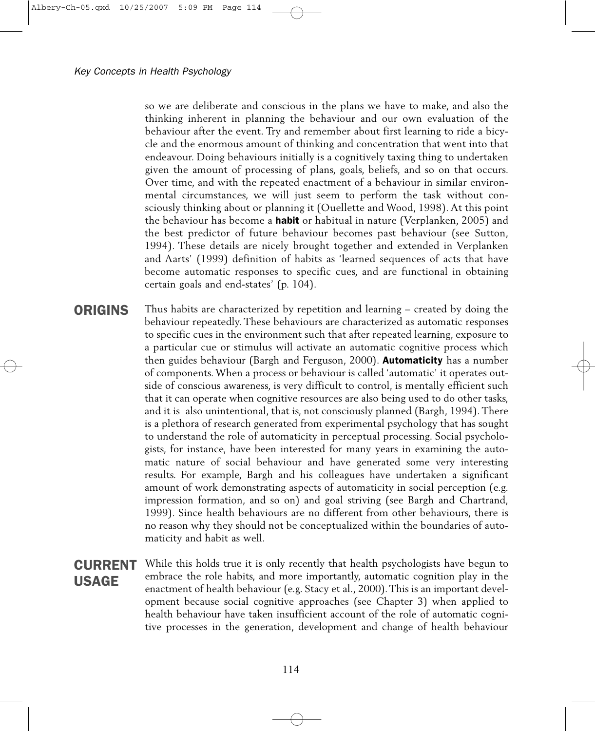so we are deliberate and conscious in the plans we have to make, and also the thinking inherent in planning the behaviour and our own evaluation of the behaviour after the event. Try and remember about first learning to ride a bicycle and the enormous amount of thinking and concentration that went into that endeavour. Doing behaviours initially is a cognitively taxing thing to undertaken given the amount of processing of plans, goals, beliefs, and so on that occurs. Over time, and with the repeated enactment of a behaviour in similar environmental circumstances, we will just seem to perform the task without consciously thinking about or planning it (Ouellette and Wood, 1998). At this point the behaviour has become a **habit** or habitual in nature (Verplanken, 2005) and the best predictor of future behaviour becomes past behaviour (see Sutton, 1994). These details are nicely brought together and extended in Verplanken and Aarts' (1999) definition of habits as 'learned sequences of acts that have become automatic responses to specific cues, and are functional in obtaining certain goals and end-states' (p. 104).

Thus habits are characterized by repetition and learning – created by doing the behaviour repeatedly. These behaviours are characterized as automatic responses to specific cues in the environment such that after repeated learning, exposure to a particular cue or stimulus will activate an automatic cognitive process which then guides behaviour (Bargh and Ferguson, 2000). **Automaticity** has a number of components. When a process or behaviour is called 'automatic' it operates outside of conscious awareness, is very difficult to control, is mentally efficient such that it can operate when cognitive resources are also being used to do other tasks, and it is also unintentional, that is, not consciously planned (Bargh, 1994). There is a plethora of research generated from experimental psychology that has sought to understand the role of automaticity in perceptual processing. Social psychologists, for instance, have been interested for many years in examining the automatic nature of social behaviour and have generated some very interesting results. For example, Bargh and his colleagues have undertaken a significant amount of work demonstrating aspects of automaticity in social perception (e.g. impression formation, and so on) and goal striving (see Bargh and Chartrand, 1999). Since health behaviours are no different from other behaviours, there is no reason why they should not be conceptualized within the boundaries of automaticity and habit as well. ORIGINS

While this holds true it is only recently that health psychologists have begun to embrace the role habits, and more importantly, automatic cognition play in the enactment of health behaviour (e.g. Stacy et al., 2000). This is an important development because social cognitive approaches (see Chapter 3) when applied to health behaviour have taken insufficient account of the role of automatic cognitive processes in the generation, development and change of health behaviour CURRENT USAGE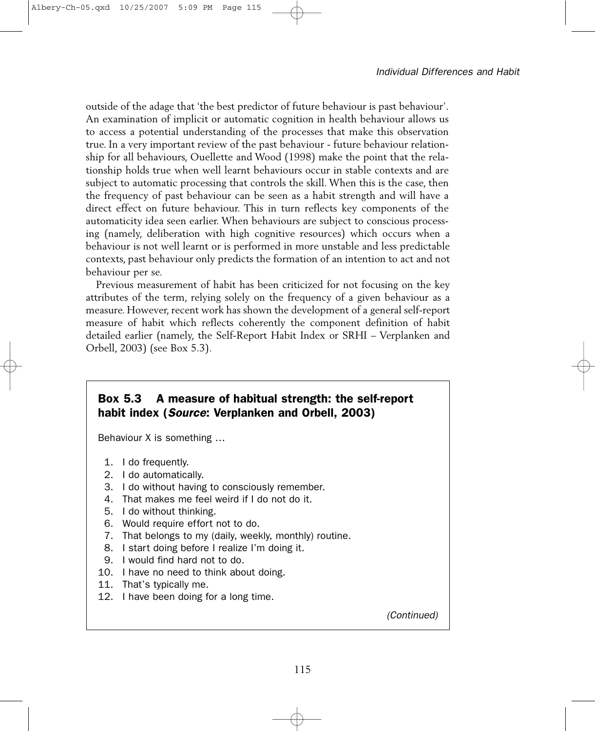outside of the adage that 'the best predictor of future behaviour is past behaviour'. An examination of implicit or automatic cognition in health behaviour allows us to access a potential understanding of the processes that make this observation true. In a very important review of the past behaviour - future behaviour relationship for all behaviours, Ouellette and Wood (1998) make the point that the relationship holds true when well learnt behaviours occur in stable contexts and are subject to automatic processing that controls the skill. When this is the case, then the frequency of past behaviour can be seen as a habit strength and will have a direct effect on future behaviour. This in turn reflects key components of the automaticity idea seen earlier. When behaviours are subject to conscious processing (namely, deliberation with high cognitive resources) which occurs when a behaviour is not well learnt or is performed in more unstable and less predictable contexts, past behaviour only predicts the formation of an intention to act and not behaviour per se.

Previous measurement of habit has been criticized for not focusing on the key attributes of the term, relying solely on the frequency of a given behaviour as a measure. However, recent work has shown the development of a general self-report measure of habit which reflects coherently the component definition of habit detailed earlier (namely, the Self-Report Habit Index or SRHI – Verplanken and Orbell, 2003) (see Box 5.3).

#### Box 5.3 A measure of habitual strength: the self-report habit index (Source: Verplanken and Orbell, 2003)

Behaviour X is something …

- 1. I do frequently.
- 2. I do automatically.
- 3. I do without having to consciously remember.
- 4. That makes me feel weird if I do not do it.
- 5. I do without thinking.
- 6. Would require effort not to do.
- 7. That belongs to my (daily, weekly, monthly) routine.
- 8. I start doing before I realize I'm doing it.
- 9. I would find hard not to do.
- 10. I have no need to think about doing.
- 11. That's typically me.
- 12. I have been doing for a long time.

(Continued)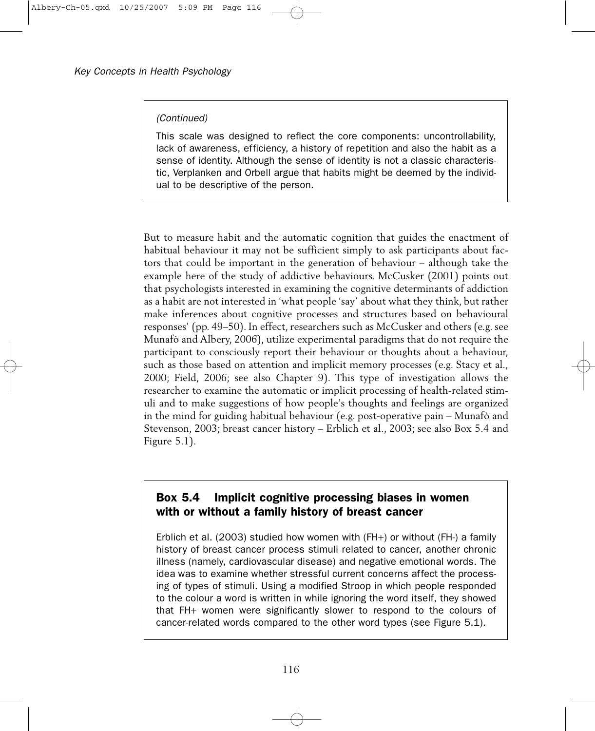#### (Continued)

This scale was designed to reflect the core components: uncontrollability, lack of awareness, efficiency, a history of repetition and also the habit as a sense of identity. Although the sense of identity is not a classic characteristic, Verplanken and Orbell argue that habits might be deemed by the individual to be descriptive of the person.

But to measure habit and the automatic cognition that guides the enactment of habitual behaviour it may not be sufficient simply to ask participants about factors that could be important in the generation of behaviour – although take the example here of the study of addictive behaviours. McCusker (2001) points out that psychologists interested in examining the cognitive determinants of addiction as a habit are not interested in 'what people 'say' about what they think, but rather make inferences about cognitive processes and structures based on behavioural responses' (pp. 49–50). In effect, researchers such as McCusker and others (e.g. see Munafò and Albery, 2006), utilize experimental paradigms that do not require the participant to consciously report their behaviour or thoughts about a behaviour, such as those based on attention and implicit memory processes (e.g. Stacy et al., 2000; Field, 2006; see also Chapter 9). This type of investigation allows the researcher to examine the automatic or implicit processing of health-related stimuli and to make suggestions of how people's thoughts and feelings are organized in the mind for guiding habitual behaviour (e.g. post-operative pain – Munafò and Stevenson, 2003; breast cancer history – Erblich et al., 2003; see also Box 5.4 and Figure 5.1).

#### Box 5.4 Implicit cognitive processing biases in women with or without a family history of breast cancer

Erblich et al. (2003) studied how women with (FH+) or without (FH-) a family history of breast cancer process stimuli related to cancer, another chronic illness (namely, cardiovascular disease) and negative emotional words. The idea was to examine whether stressful current concerns affect the processing of types of stimuli. Using a modified Stroop in which people responded to the colour a word is written in while ignoring the word itself, they showed that FH+ women were significantly slower to respond to the colours of cancer-related words compared to the other word types (see Figure 5.1).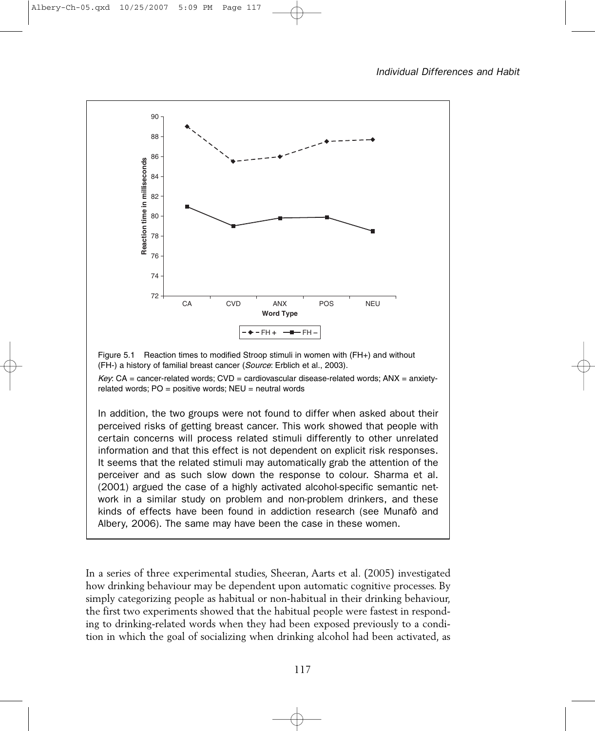

Figure 5.1 Reaction times to modified Stroop stimuli in women with (FH+) and without (FH-) a history of familial breast cancer (Source: Erblich et al., 2003).

Key: CA = cancer-related words;  $CVD =$  cardiovascular disease-related words;  $ANX =$  anxietyrelated words;  $PO = positive words$ ;  $NEU = neutral words$ 

In addition, the two groups were not found to differ when asked about their perceived risks of getting breast cancer. This work showed that people with certain concerns will process related stimuli differently to other unrelated information and that this effect is not dependent on explicit risk responses. It seems that the related stimuli may automatically grab the attention of the perceiver and as such slow down the response to colour. Sharma et al. (2001) argued the case of a highly activated alcohol-specific semantic network in a similar study on problem and non-problem drinkers, and these kinds of effects have been found in addiction research (see Munafò and Albery, 2006). The same may have been the case in these women.

In a series of three experimental studies, Sheeran, Aarts et al. (2005) investigated how drinking behaviour may be dependent upon automatic cognitive processes. By simply categorizing people as habitual or non-habitual in their drinking behaviour, the first two experiments showed that the habitual people were fastest in responding to drinking-related words when they had been exposed previously to a condition in which the goal of socializing when drinking alcohol had been activated, as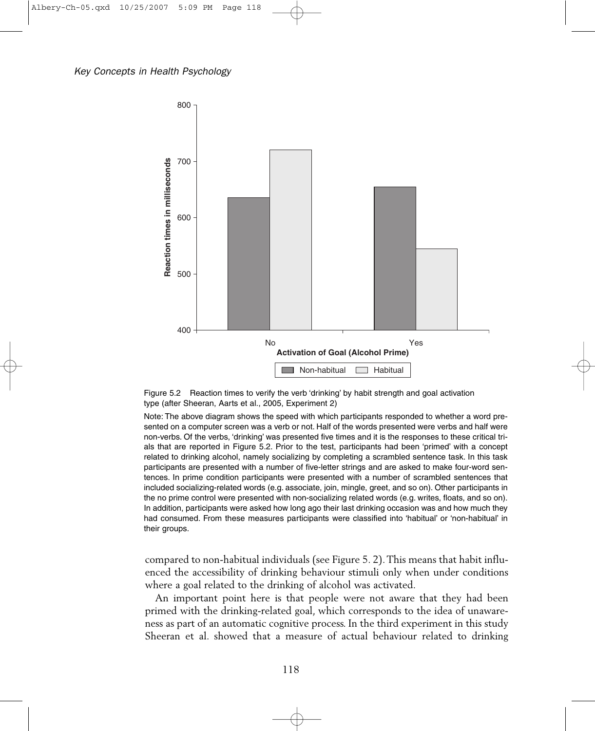

Figure 5.2 Reaction times to verify the verb 'drinking' by habit strength and goal activation type (after Sheeran, Aarts et al., 2005, Experiment 2)

Note: The above diagram shows the speed with which participants responded to whether a word presented on a computer screen was a verb or not. Half of the words presented were verbs and half were non-verbs. Of the verbs, 'drinking' was presented five times and it is the responses to these critical trials that are reported in Figure 5.2. Prior to the test, participants had been 'primed' with a concept related to drinking alcohol, namely socializing by completing a scrambled sentence task. In this task participants are presented with a number of five-letter strings and are asked to make four-word sentences. In prime condition participants were presented with a number of scrambled sentences that included socializing-related words (e.g. associate, join, mingle, greet, and so on). Other participants in the no prime control were presented with non-socializing related words (e.g. writes, floats, and so on). In addition, participants were asked how long ago their last drinking occasion was and how much they had consumed. From these measures participants were classified into 'habitual' or 'non-habitual' in their groups.

compared to non-habitual individuals (see Figure 5. 2). This means that habit influenced the accessibility of drinking behaviour stimuli only when under conditions where a goal related to the drinking of alcohol was activated.

An important point here is that people were not aware that they had been primed with the drinking-related goal, which corresponds to the idea of unawareness as part of an automatic cognitive process. In the third experiment in this study Sheeran et al. showed that a measure of actual behaviour related to drinking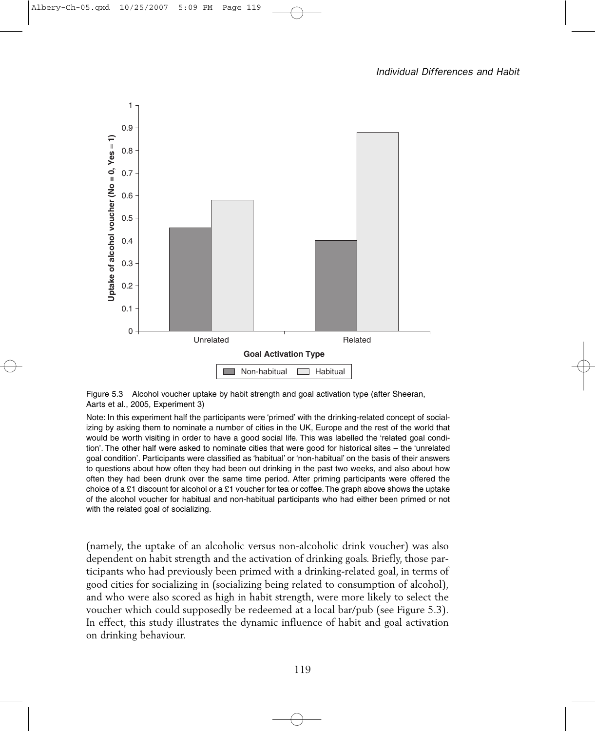#### Individual Differences and Habit



Figure 5.3 Alcohol voucher uptake by habit strength and goal activation type (after Sheeran, Aarts et al., 2005, Experiment 3)

Note: In this experiment half the participants were 'primed' with the drinking-related concept of socializing by asking them to nominate a number of cities in the UK, Europe and the rest of the world that would be worth visiting in order to have a good social life. This was labelled the 'related goal condition'. The other half were asked to nominate cities that were good for historical sites – the 'unrelated goal condition'. Participants were classified as 'habitual' or 'non-habitual' on the basis of their answers to questions about how often they had been out drinking in the past two weeks, and also about how often they had been drunk over the same time period. After priming participants were offered the choice of a £1 discount for alcohol or a £1 voucher for tea or coffee. The graph above shows the uptake of the alcohol voucher for habitual and non-habitual participants who had either been primed or not with the related goal of socializing.

(namely, the uptake of an alcoholic versus non-alcoholic drink voucher) was also dependent on habit strength and the activation of drinking goals. Briefly, those participants who had previously been primed with a drinking-related goal, in terms of good cities for socializing in (socializing being related to consumption of alcohol), and who were also scored as high in habit strength, were more likely to select the voucher which could supposedly be redeemed at a local bar/pub (see Figure 5.3). In effect, this study illustrates the dynamic influence of habit and goal activation on drinking behaviour.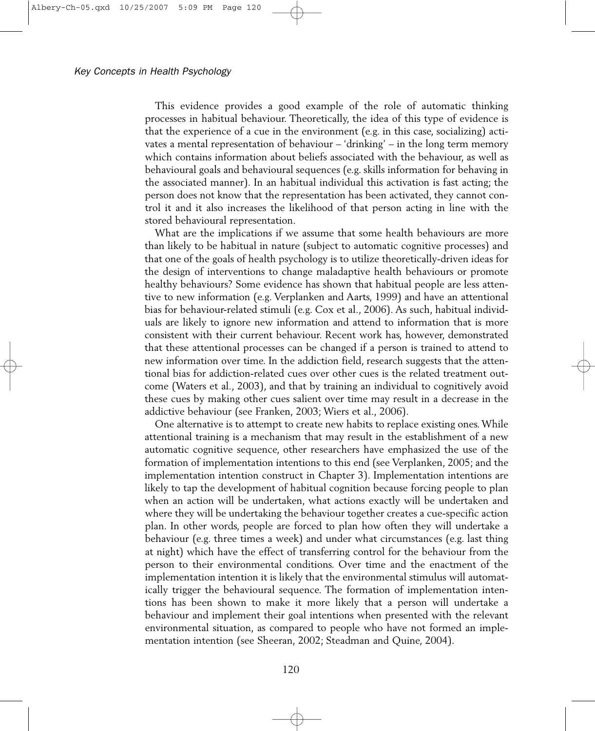This evidence provides a good example of the role of automatic thinking processes in habitual behaviour. Theoretically, the idea of this type of evidence is that the experience of a cue in the environment (e.g. in this case, socializing) activates a mental representation of behaviour – 'drinking' – in the long term memory which contains information about beliefs associated with the behaviour, as well as behavioural goals and behavioural sequences (e.g. skills information for behaving in the associated manner). In an habitual individual this activation is fast acting; the person does not know that the representation has been activated, they cannot control it and it also increases the likelihood of that person acting in line with the stored behavioural representation.

What are the implications if we assume that some health behaviours are more than likely to be habitual in nature (subject to automatic cognitive processes) and that one of the goals of health psychology is to utilize theoretically-driven ideas for the design of interventions to change maladaptive health behaviours or promote healthy behaviours? Some evidence has shown that habitual people are less attentive to new information (e.g. Verplanken and Aarts, 1999) and have an attentional bias for behaviour-related stimuli (e.g. Cox et al., 2006). As such, habitual individuals are likely to ignore new information and attend to information that is more consistent with their current behaviour. Recent work has, however, demonstrated that these attentional processes can be changed if a person is trained to attend to new information over time. In the addiction field, research suggests that the attentional bias for addiction-related cues over other cues is the related treatment outcome (Waters et al., 2003), and that by training an individual to cognitively avoid these cues by making other cues salient over time may result in a decrease in the addictive behaviour (see Franken, 2003; Wiers et al., 2006).

One alternative is to attempt to create new habits to replace existing ones. While attentional training is a mechanism that may result in the establishment of a new automatic cognitive sequence, other researchers have emphasized the use of the formation of implementation intentions to this end (see Verplanken, 2005; and the implementation intention construct in Chapter 3). Implementation intentions are likely to tap the development of habitual cognition because forcing people to plan when an action will be undertaken, what actions exactly will be undertaken and where they will be undertaking the behaviour together creates a cue-specific action plan. In other words, people are forced to plan how often they will undertake a behaviour (e.g. three times a week) and under what circumstances (e.g. last thing at night) which have the effect of transferring control for the behaviour from the person to their environmental conditions. Over time and the enactment of the implementation intention it is likely that the environmental stimulus will automatically trigger the behavioural sequence. The formation of implementation intentions has been shown to make it more likely that a person will undertake a behaviour and implement their goal intentions when presented with the relevant environmental situation, as compared to people who have not formed an implementation intention (see Sheeran, 2002; Steadman and Quine, 2004).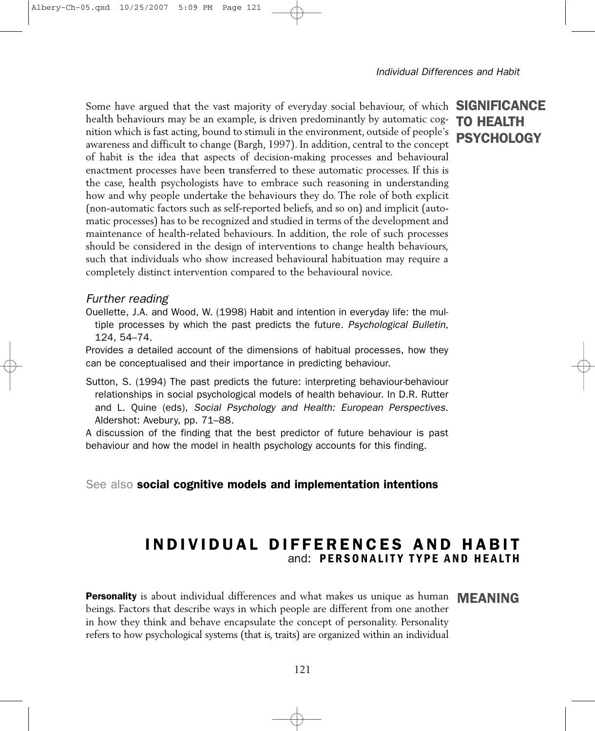Individual Differences and Habit

Some have argued that the vast majority of everyday social behaviour, of which health behaviours may be an example, is driven predominantly by automatic cognition which is fast acting, bound to stimuli in the environment, outside of people's awareness and difficult to change (Bargh, 1997). In addition, central to the concept of habit is the idea that aspects of decision-making processes and behavioural enactment processes have been transferred to these automatic processes. If this is the case, health psychologists have to embrace such reasoning in understanding how and why people undertake the behaviours they do. The role of both explicit (non-automatic factors such as self-reported beliefs, and so on) and implicit (automatic processes) has to be recognized and studied in terms of the development and maintenance of health-related behaviours. In addition, the role of such processes should be considered in the design of interventions to change health behaviours, such that individuals who show increased behavioural habituation may require a completely distinct intervention compared to the behavioural novice.

#### Further reading

Ouellette, J.A. and Wood, W. (1998) Habit and intention in everyday life: the multiple processes by which the past predicts the future. Psychological Bulletin, 124, 54–74.

Provides a detailed account of the dimensions of habitual processes, how they can be conceptualised and their importance in predicting behaviour.

Sutton, S. (1994) The past predicts the future: interpreting behaviour-behaviour relationships in social psychological models of health behaviour. In D.R. Rutter and L. Quine (eds), Social Psychology and Health: European Perspectives. Aldershot: Avebury, pp. 71–88.

A discussion of the finding that the best predictor of future behaviour is past behaviour and how the model in health psychology accounts for this finding.

See also **social cognitive models and implementation intentions** 

#### INDIVIDUAL DIFFERENCES AND HABIT and: PERSONALITY TYPE AND HEALTH

Personality is about individual differences and what makes us unique as human **MEANING** beings. Factors that describe ways in which people are different from one another in how they think and behave encapsulate the concept of personality. Personality refers to how psychological systems (that is, traits) are organized within an individual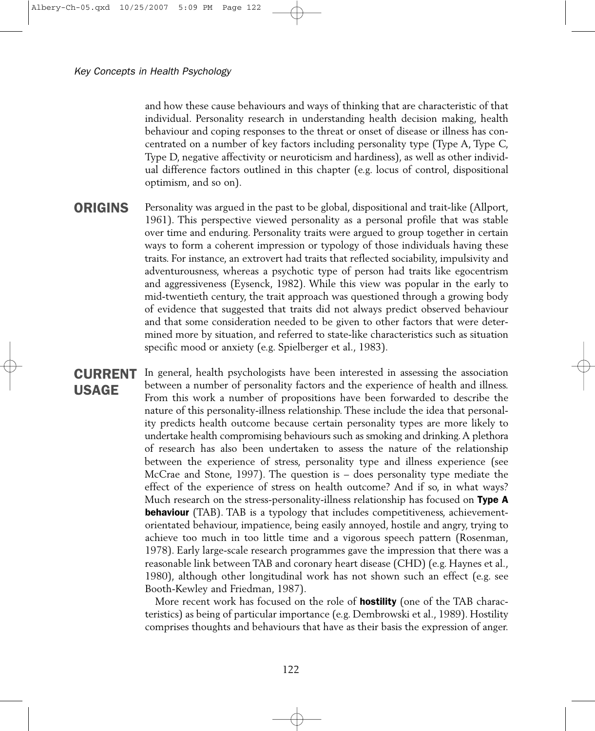and how these cause behaviours and ways of thinking that are characteristic of that individual. Personality research in understanding health decision making, health behaviour and coping responses to the threat or onset of disease or illness has concentrated on a number of key factors including personality type (Type A, Type C, Type D, negative affectivity or neuroticism and hardiness), as well as other individual difference factors outlined in this chapter (e.g. locus of control, dispositional optimism, and so on).

Personality was argued in the past to be global, dispositional and trait-like (Allport, 1961). This perspective viewed personality as a personal profile that was stable over time and enduring. Personality traits were argued to group together in certain ways to form a coherent impression or typology of those individuals having these traits. For instance, an extrovert had traits that reflected sociability, impulsivity and adventurousness, whereas a psychotic type of person had traits like egocentrism and aggressiveness (Eysenck, 1982). While this view was popular in the early to mid-twentieth century, the trait approach was questioned through a growing body of evidence that suggested that traits did not always predict observed behaviour and that some consideration needed to be given to other factors that were determined more by situation, and referred to state-like characteristics such as situation specific mood or anxiety (e.g. Spielberger et al., 1983). ORIGINS

#### CURRENT USAGE

In general, health psychologists have been interested in assessing the association between a number of personality factors and the experience of health and illness. From this work a number of propositions have been forwarded to describe the nature of this personality-illness relationship. These include the idea that personality predicts health outcome because certain personality types are more likely to undertake health compromising behaviours such as smoking and drinking.A plethora of research has also been undertaken to assess the nature of the relationship between the experience of stress, personality type and illness experience (see McCrae and Stone, 1997). The question is – does personality type mediate the effect of the experience of stress on health outcome? And if so, in what ways? Much research on the stress-personality-illness relationship has focused on Type A **behaviour** (TAB). TAB is a typology that includes competitiveness, achievementorientated behaviour, impatience, being easily annoyed, hostile and angry, trying to achieve too much in too little time and a vigorous speech pattern (Rosenman, 1978). Early large-scale research programmes gave the impression that there was a reasonable link between TAB and coronary heart disease (CHD) (e.g. Haynes et al., 1980), although other longitudinal work has not shown such an effect (e.g. see Booth-Kewley and Friedman, 1987).

More recent work has focused on the role of **hostility** (one of the TAB characteristics) as being of particular importance (e.g. Dembrowski et al., 1989). Hostility comprises thoughts and behaviours that have as their basis the expression of anger.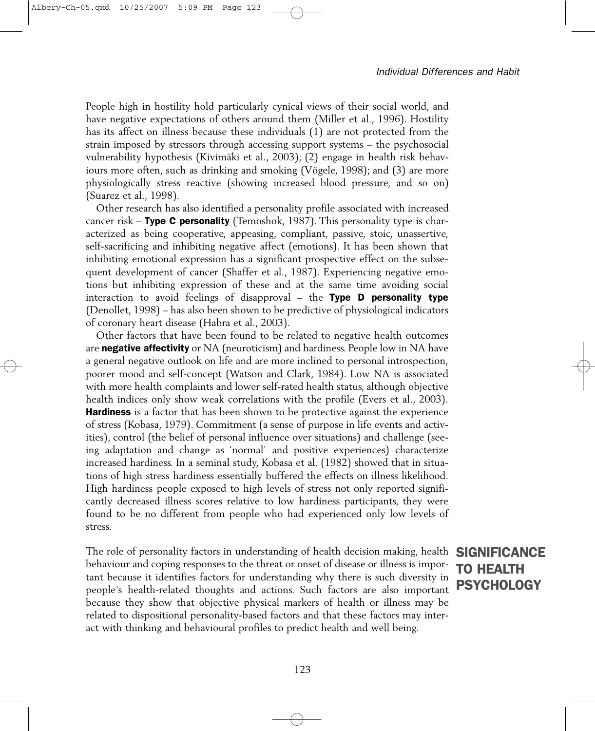People high in hostility hold particularly cynical views of their social world, and have negative expectations of others around them (Miller et al., 1996). Hostility has its affect on illness because these individuals (1) are not protected from the strain imposed by stressors through accessing support systems – the psychosocial vulnerability hypothesis (Kivimäki et al., 2003); (2) engage in health risk behaviours more often, such as drinking and smoking (Vögele, 1998); and (3) are more physiologically stress reactive (showing increased blood pressure, and so on) (Suarez et al., 1998).

Other research has also identified a personality profile associated with increased cancer risk – Type C personality (Temoshok, 1987). This personality type is characterized as being cooperative, appeasing, compliant, passive, stoic, unassertive, self-sacrificing and inhibiting negative affect (emotions). It has been shown that inhibiting emotional expression has a significant prospective effect on the subsequent development of cancer (Shaffer et al., 1987). Experiencing negative emotions but inhibiting expression of these and at the same time avoiding social interaction to avoid feelings of disapproval – the Type D personality type (Denollet, 1998) – has also been shown to be predictive of physiological indicators of coronary heart disease (Habra et al., 2003).

Other factors that have been found to be related to negative health outcomes are **negative affectivity** or NA (neuroticism) and hardiness. People low in NA have a general negative outlook on life and are more inclined to personal introspection, poorer mood and self-concept (Watson and Clark, 1984). Low NA is associated with more health complaints and lower self-rated health status, although objective health indices only show weak correlations with the profile (Evers et al., 2003). **Hardiness** is a factor that has been shown to be protective against the experience of stress (Kobasa, 1979). Commitment (a sense of purpose in life events and activities), control (the belief of personal influence over situations) and challenge (seeing adaptation and change as 'normal' and positive experiences) characterize increased hardiness. In a seminal study, Kobasa et al. (1982) showed that in situations of high stress hardiness essentially buffered the effects on illness likelihood. High hardiness people exposed to high levels of stress not only reported significantly decreased illness scores relative to low hardiness participants, they were found to be no different from people who had experienced only low levels of stress.

The role of personality factors in understanding of health decision making, health SIGNIFICANCE behaviour and coping responses to the threat or onset of disease or illness is important because it identifies factors for understanding why there is such diversity in people's health-related thoughts and actions. Such factors are also important because they show that objective physical markers of health or illness may be related to dispositional personality-based factors and that these factors may interact with thinking and behavioural profiles to predict health and well being.

# TO HEALTH **PSYCHOLOGY**